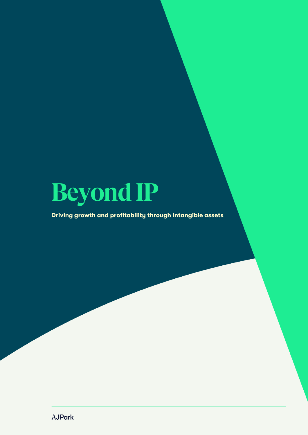

# Driving growth and profitability through intangible assets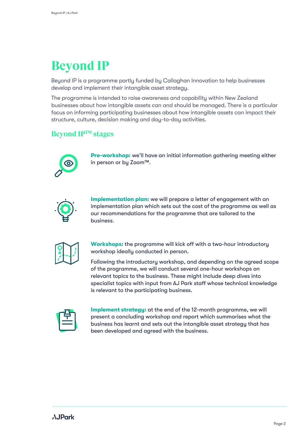# **Beyond IP**

Beyond IP is a programme partly funded by Callaghan Innovation to help businesses develop and implement their intangible asset strategy.

The programme is intended to raise awareness and capability within New Zealand businesses about how intangible assets can and should be managed. There is a particular focus on informing participating businesses about how intangible assets can impact their structure, culture, decision making and day-to-day activities.

# **Beyond IPTM stages**



Pre-workshop: we'll have an initial information gathering meeting either in person or by Zoom™.



Implementation plan: we will prepare a letter of engagement with an implementation plan which sets out the cost of the programme as well as our recommendations for the programme that are tailored to the business.



Workshops: the programme will kick off with a two-hour introductory workshop ideally conducted in person.

Following the introductory workshop, and depending on the agreed scope of the programme, we will conduct several one-hour workshops on relevant topics to the business. These might include deep dives into specialist topics with input from AJ Park staff whose technical knowledge is relevant to the participating business.



Implement strategy: at the end of the 12-month programme, we will present a concluding workshop and report which summarises what the business has learnt and sets out the intangible asset strategy that has been developed and agreed with the business.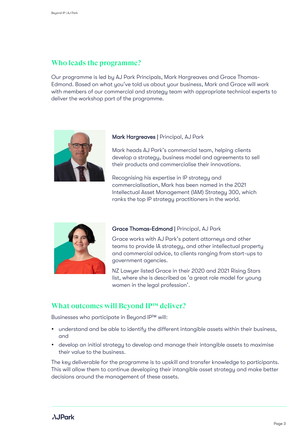# **Who leads the programme?**

Our programme is led by AJ Park Principals, Mark Hargreaves and Grace Thomas-Edmond. Based on what you've told us about your business, Mark and Grace will work with members of our commercial and strategy team with appropriate technical experts to deliver the workshop part of the programme.



#### Mark Hargreaves | Principal, AJ Park

Mark heads AJ Park's commercial team, helping clients develop a strategy, business model and agreements to sell their products and commercialise their innovations.

Recognising his expertise in IP strategy and commercialisation, Mark has been named in the 2021 Intellectual Asset Management (IAM) Strategy 300, which ranks the top IP strategy practitioners in the world.



### Grace Thomas-Edmond | Principal, AJ Park

Grace works with AJ Park's patent attorneys and other teams to provide IA strategy, and other intellectual property and commercial advice, to clients ranging from start-ups to government agencies.

NZ Lawyer listed Grace in their 2020 and 2021 Rising Stars list, where she is described as 'a great role model for young women in the legal profession'.

## **What outcomes will Beyond IP™ deliver?**

Businesses who participate in Beyond IP™ will:

- understand and be able to identify the different intangible assets within their business, and
- develop an initial strategy to develop and manage their intangible assets to maximise their value to the business.

The key deliverable for the programme is to upskill and transfer knowledge to participants. This will allow them to continue developing their intangible asset strategy and make better decisions around the management of these assets.